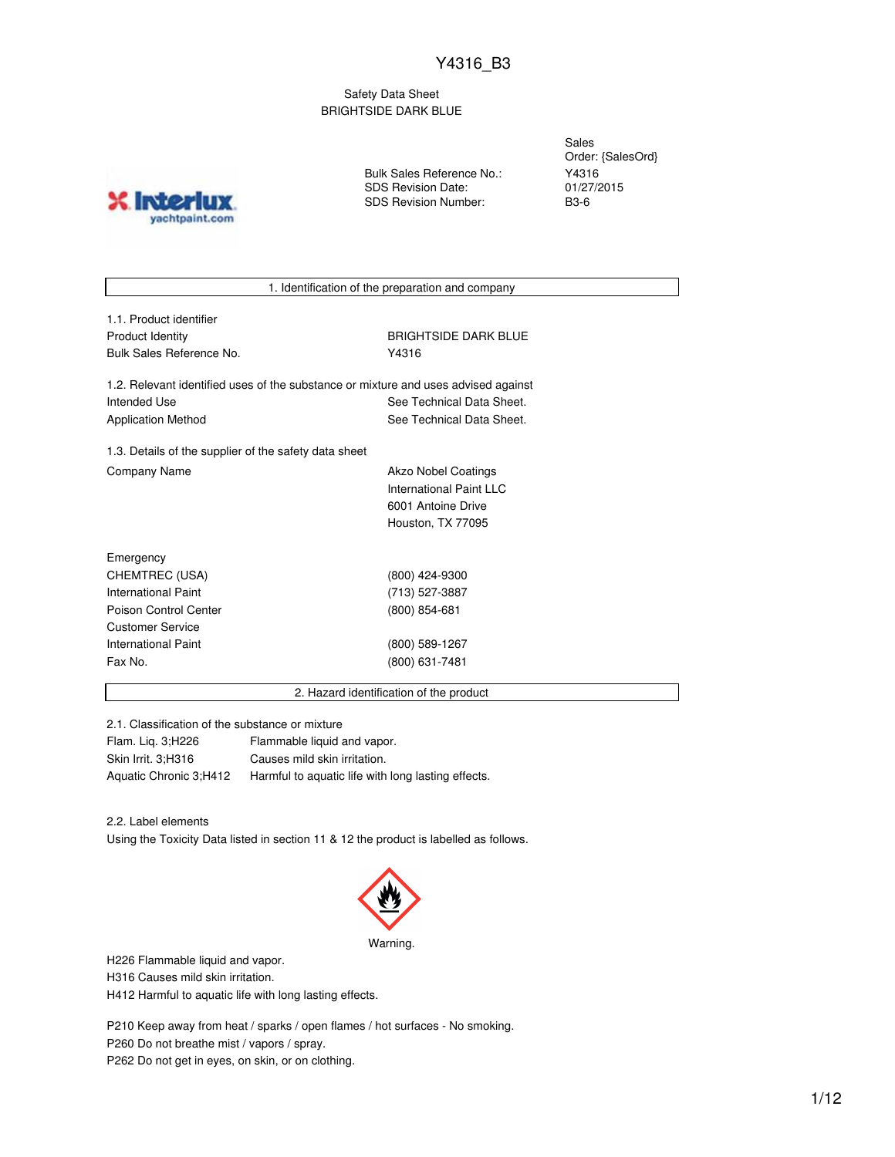Safety Data Sheet BRIGHTSIDE DARK BLUE

> Sales Order: {SalesOrd} Y4316 01/27/2015



Bulk Sales Reference No.: SDS Revision Date: SDS Revision Number:

B3-6

1. Identification of the preparation and company

| 1.1. Product identifier                                                            |                             |
|------------------------------------------------------------------------------------|-----------------------------|
| <b>Product Identity</b>                                                            | <b>BRIGHTSIDE DARK BLUE</b> |
| Bulk Sales Reference No.                                                           | Y4316                       |
| 1.2. Relevant identified uses of the substance or mixture and uses advised against |                             |
| Intended Use                                                                       | See Technical Data Sheet.   |
| <b>Application Method</b>                                                          | See Technical Data Sheet.   |
| 1.3. Details of the supplier of the safety data sheet                              |                             |
| <b>Company Name</b>                                                                | Akzo Nobel Coatings         |
|                                                                                    | International Paint LLC     |
|                                                                                    | 6001 Antoine Drive          |
|                                                                                    | Houston, TX 77095           |
| Emergency                                                                          |                             |
| CHEMTREC (USA)                                                                     | (800) 424-9300              |

| CHEMTREC (USA)        | (800) 424-9300  |
|-----------------------|-----------------|
| International Paint   | (713) 527-3887  |
| Poison Control Center | $(800)$ 854-681 |
| Customer Service      |                 |
| International Paint   | (800) 589-1267  |
| Fax No.               | (800) 631-7481  |
|                       |                 |

2. Hazard identification of the product

2.1. Classification of the substance or mixture

| Flam. Lig. 3; H226     | Flammable liquid and vapor.                        |
|------------------------|----------------------------------------------------|
| Skin Irrit. 3:H316     | Causes mild skin irritation.                       |
| Aquatic Chronic 3:H412 | Harmful to aquatic life with long lasting effects. |

2.2. Label elements

Using the Toxicity Data listed in section 11 & 12 the product is labelled as follows.



H226 Flammable liquid and vapor.

H316 Causes mild skin irritation.

H412 Harmful to aquatic life with long lasting effects.

P210 Keep away from heat / sparks / open flames / hot surfaces - No smoking. P260 Do not breathe mist / vapors / spray. P262 Do not get in eyes, on skin, or on clothing.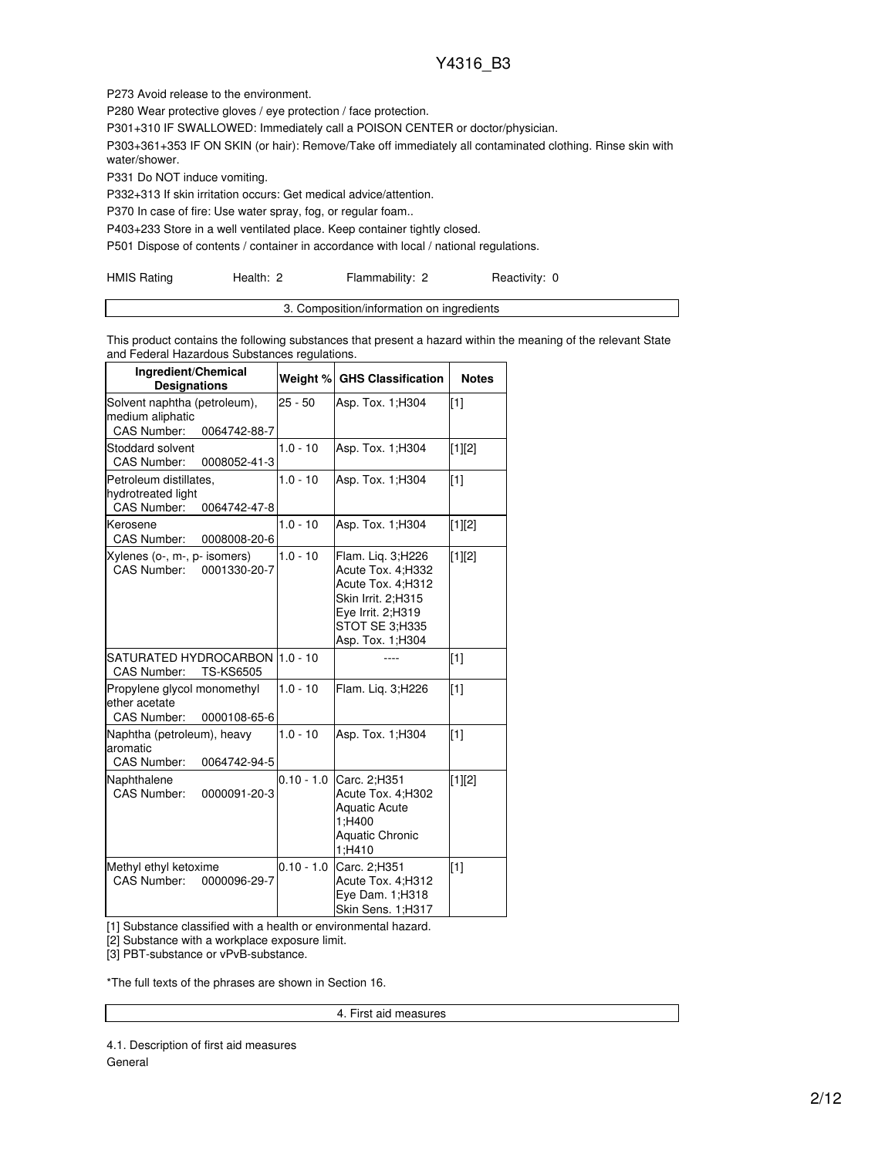P273 Avoid release to the environment.

P280 Wear protective gloves / eye protection / face protection.

P301+310 IF SWALLOWED: Immediately call a POISON CENTER or doctor/physician.

P303+361+353 IF ON SKIN (or hair): Remove/Take off immediately all contaminated clothing. Rinse skin with water/shower.

P331 Do NOT induce vomiting.

P332+313 If skin irritation occurs: Get medical advice/attention.

P370 In case of fire: Use water spray, fog, or regular foam..

P403+233 Store in a well ventilated place. Keep container tightly closed.

P501 Dispose of contents / container in accordance with local / national regulations.

| <b>HMIS Rating</b> | Health: 2 | Flammability: 2 | Reactivity: 0 |
|--------------------|-----------|-----------------|---------------|
|--------------------|-----------|-----------------|---------------|

| 3. Composition/information on ingredients |
|-------------------------------------------|
|                                           |

This product contains the following substances that present a hazard within the meaning of the relevant State and Federal Hazardous Substances regulations.

| Ingredient/Chemical<br><b>Designations</b>                                             | Weight %     | <b>GHS Classification</b>                                                                                                                      | <b>Notes</b> |
|----------------------------------------------------------------------------------------|--------------|------------------------------------------------------------------------------------------------------------------------------------------------|--------------|
| Solvent naphtha (petroleum),<br>medium aliphatic<br><b>CAS Number:</b><br>0064742-88-7 | $25 - 50$    | Asp. Tox. 1; H304                                                                                                                              | $\sqrt{11}$  |
| Stoddard solvent<br><b>CAS Number:</b><br>0008052-41-3                                 | $1.0 - 10$   | Asp. Tox. 1; H304                                                                                                                              | [1][2]       |
| Petroleum distillates,<br>hydrotreated light<br>CAS Number:<br>0064742-47-8            | $1.0 - 10$   | Asp. Tox. 1; H304                                                                                                                              | $[1]$        |
| Kerosene<br><b>CAS Number:</b><br>0008008-20-6                                         | $1.0 - 10$   | Asp. Tox. 1; H304                                                                                                                              | $[1][2]$     |
| Xylenes (o-, m-, p- isomers)<br>CAS Number: 0001330-20-7                               | $1.0 - 10$   | Flam. Lig. 3;H226<br>Acute Tox. 4: H332<br>Acute Tox. 4;H312<br>Skin Irrit. 2:H315<br>Eye Irrit. 2;H319<br>STOT SE 3:H335<br>Asp. Tox. 1; H304 | [1][2]       |
| SATURATED HYDROCARBON<br><b>TS-KS6505</b><br><b>CAS Number:</b>                        | $1.0 - 10$   |                                                                                                                                                | $[1]$        |
| Propylene glycol monomethyl<br>ether acetate<br><b>CAS Number:</b><br>0000108-65-6     | $1.0 - 10$   | Flam. Lig. 3;H226                                                                                                                              | [1]          |
| Naphtha (petroleum), heavy<br>aromatic<br><b>CAS Number:</b><br>0064742-94-5           | $1.0 - 10$   | Asp. Tox. 1; H304                                                                                                                              | [1]          |
| Naphthalene<br><b>CAS Number:</b><br>0000091-20-3                                      | $0.10 - 1.0$ | Carc. 2:H351<br>Acute Tox. 4;H302<br><b>Aquatic Acute</b><br>1:H400<br><b>Aquatic Chronic</b><br>1:H410                                        | $[1][2]$     |
| Methyl ethyl ketoxime<br>CAS Number:<br>0000096-29-7                                   | $0.10 - 1.0$ | Carc. 2;H351<br>Acute Tox. 4;H312<br>Eye Dam. 1;H318<br>Skin Sens. 1;H317                                                                      | [1]          |

[1] Substance classified with a health or environmental hazard.

[2] Substance with a workplace exposure limit.

[3] PBT-substance or vPvB-substance.

\*The full texts of the phrases are shown in Section 16.

4. First aid measures

4.1. Description of first aid measures General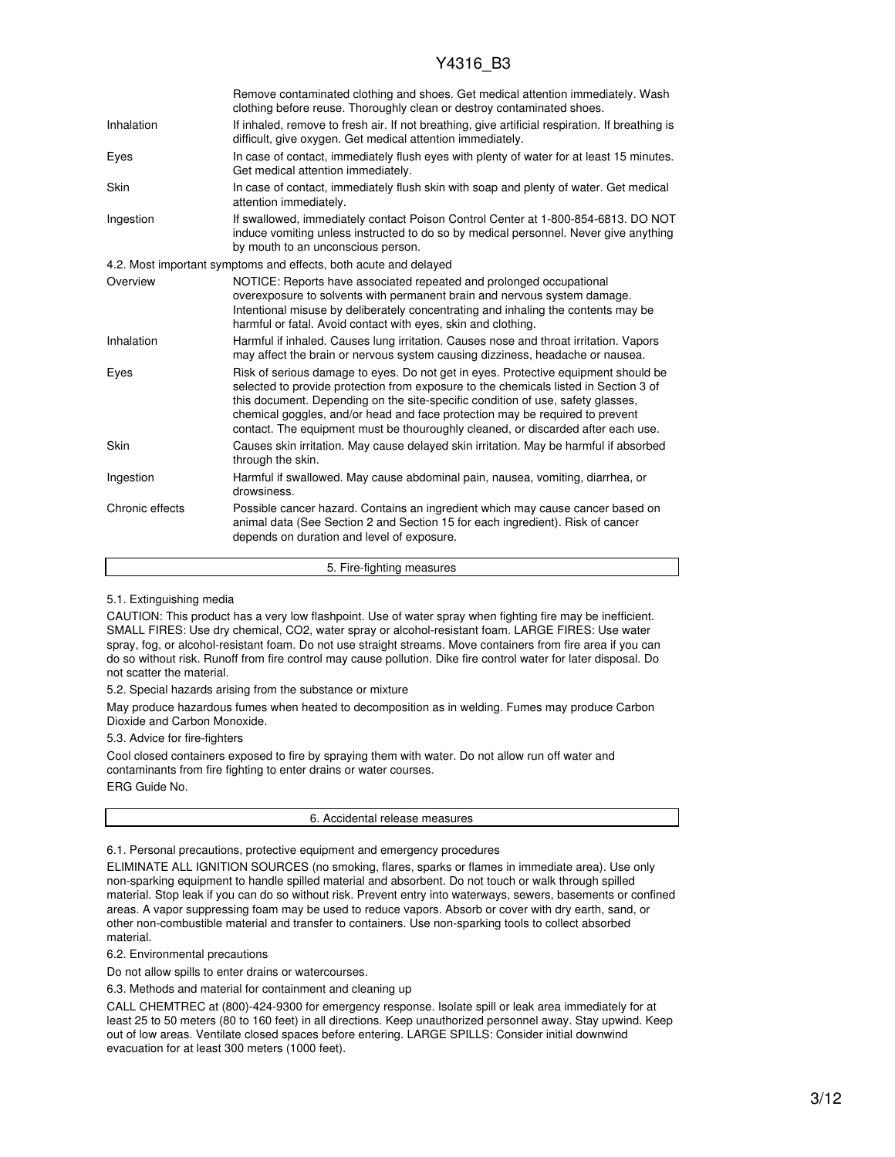## Y4316 B3

|                 | Remove contaminated clothing and shoes. Get medical attention immediately. Wash<br>clothing before reuse. Thoroughly clean or destroy contaminated shoes.                                                                                                                                                                                                                                                                         |
|-----------------|-----------------------------------------------------------------------------------------------------------------------------------------------------------------------------------------------------------------------------------------------------------------------------------------------------------------------------------------------------------------------------------------------------------------------------------|
| Inhalation      | If inhaled, remove to fresh air. If not breathing, give artificial respiration. If breathing is<br>difficult, give oxygen. Get medical attention immediately.                                                                                                                                                                                                                                                                     |
| Eyes            | In case of contact, immediately flush eyes with plenty of water for at least 15 minutes.<br>Get medical attention immediately.                                                                                                                                                                                                                                                                                                    |
| Skin            | In case of contact, immediately flush skin with soap and plenty of water. Get medical<br>attention immediately.                                                                                                                                                                                                                                                                                                                   |
| Ingestion       | If swallowed, immediately contact Poison Control Center at 1-800-854-6813. DO NOT<br>induce vomiting unless instructed to do so by medical personnel. Never give anything<br>by mouth to an unconscious person.                                                                                                                                                                                                                   |
|                 | 4.2. Most important symptoms and effects, both acute and delayed                                                                                                                                                                                                                                                                                                                                                                  |
| Overview        | NOTICE: Reports have associated repeated and prolonged occupational<br>overexposure to solvents with permanent brain and nervous system damage.<br>Intentional misuse by deliberately concentrating and inhaling the contents may be<br>harmful or fatal. Avoid contact with eyes, skin and clothing.                                                                                                                             |
| Inhalation      | Harmful if inhaled. Causes lung irritation. Causes nose and throat irritation. Vapors<br>may affect the brain or nervous system causing dizziness, headache or nausea.                                                                                                                                                                                                                                                            |
| Eyes            | Risk of serious damage to eyes. Do not get in eyes. Protective equipment should be<br>selected to provide protection from exposure to the chemicals listed in Section 3 of<br>this document. Depending on the site-specific condition of use, safety glasses,<br>chemical goggles, and/or head and face protection may be required to prevent<br>contact. The equipment must be thouroughly cleaned, or discarded after each use. |
| Skin            | Causes skin irritation. May cause delayed skin irritation. May be harmful if absorbed<br>through the skin.                                                                                                                                                                                                                                                                                                                        |
| Ingestion       | Harmful if swallowed. May cause abdominal pain, nausea, vomiting, diarrhea, or<br>drowsiness.                                                                                                                                                                                                                                                                                                                                     |
| Chronic effects | Possible cancer hazard. Contains an ingredient which may cause cancer based on<br>animal data (See Section 2 and Section 15 for each ingredient). Risk of cancer<br>depends on duration and level of exposure.                                                                                                                                                                                                                    |

5. Fire-fighting measures

5.1. Extinguishing media

CAUTION: This product has a very low flashpoint. Use of water spray when fighting fire may be inefficient. SMALL FIRES: Use dry chemical, CO2, water spray or alcohol-resistant foam. LARGE FIRES: Use water spray, fog, or alcohol-resistant foam. Do not use straight streams. Move containers from fire area if you can do so without risk. Runoff from fire control may cause pollution. Dike fire control water for later disposal. Do not scatter the material.

5.2. Special hazards arising from the substance or mixture

May produce hazardous fumes when heated to decomposition as in welding. Fumes may produce Carbon Dioxide and Carbon Monoxide.

5.3. Advice for fire-fighters

Cool closed containers exposed to fire by spraying them with water. Do not allow run off water and contaminants from fire fighting to enter drains or water courses. ERG Guide No.

6. Accidental release measures

6.1. Personal precautions, protective equipment and emergency procedures

ELIMINATE ALL IGNITION SOURCES (no smoking, flares, sparks or flames in immediate area). Use only non-sparking equipment to handle spilled material and absorbent. Do not touch or walk through spilled material. Stop leak if you can do so without risk. Prevent entry into waterways, sewers, basements or confined areas. A vapor suppressing foam may be used to reduce vapors. Absorb or cover with dry earth, sand, or other non-combustible material and transfer to containers. Use non-sparking tools to collect absorbed material.

6.2. Environmental precautions

Do not allow spills to enter drains or watercourses.

6.3. Methods and material for containment and cleaning up

CALL CHEMTREC at (800)-424-9300 for emergency response. Isolate spill or leak area immediately for at least 25 to 50 meters (80 to 160 feet) in all directions. Keep unauthorized personnel away. Stay upwind. Keep out of low areas. Ventilate closed spaces before entering. LARGE SPILLS: Consider initial downwind evacuation for at least 300 meters (1000 feet).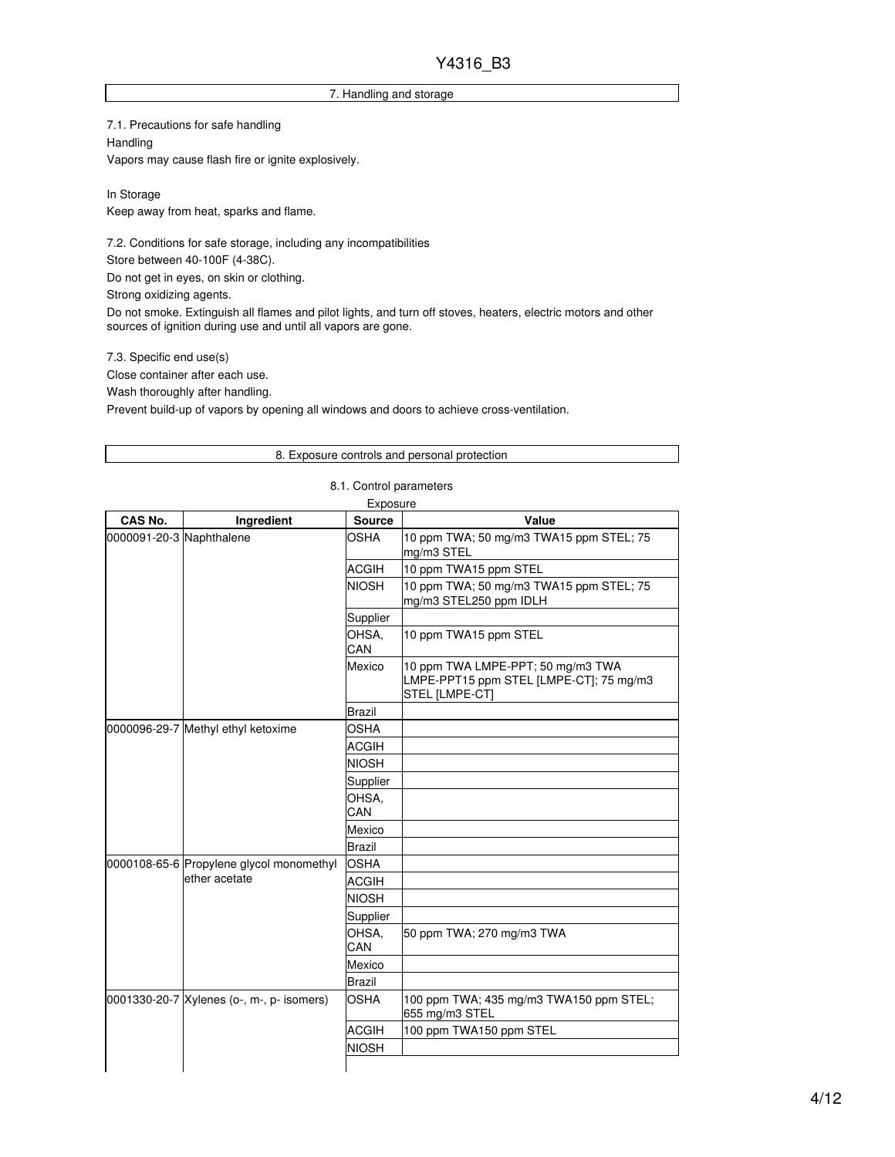### 7. Handling and storage

7.1. Precautions for safe handling Handling Vapors may cause flash fire or ignite explosively.

In Storage Keep away from heat, sparks and flame.

7.2. Conditions for safe storage, including any incompatibilities Store between 40-100F (4-38C).

Do not get in eyes, on skin or clothing.

Strong oxidizing agents.

Do not smoke. Extinguish all flames and pilot lights, and turn off stoves, heaters, electric motors and other sources of ignition during use and until all vapors are gone.

7.3. Specific end use(s)

Close container after each use.

Wash thoroughly after handling.

Prevent build-up of vapors by opening all windows and doors to achieve cross-ventilation.

### 8. Exposure controls and personal protection

|                          |                                           | Exposure      |                                                                                                |
|--------------------------|-------------------------------------------|---------------|------------------------------------------------------------------------------------------------|
| CAS No.                  | Ingredient                                | <b>Source</b> | Value                                                                                          |
| 0000091-20-3 Naphthalene |                                           | OSHA          | 10 ppm TWA; 50 mg/m3 TWA15 ppm STEL; 75<br>mg/m3 STEL                                          |
|                          |                                           | <b>ACGIH</b>  | 10 ppm TWA15 ppm STEL                                                                          |
|                          |                                           | <b>NIOSH</b>  | 10 ppm TWA; 50 mg/m3 TWA15 ppm STEL; 75<br>mg/m3 STEL250 ppm IDLH                              |
|                          |                                           | Supplier      |                                                                                                |
|                          |                                           | OHSA.<br>CAN  | 10 ppm TWA15 ppm STEL                                                                          |
|                          |                                           | Mexico        | 10 ppm TWA LMPE-PPT; 50 mg/m3 TWA<br>LMPE-PPT15 ppm STEL [LMPE-CT]; 75 mg/m3<br>STEL [LMPE-CT] |
|                          |                                           | <b>Brazil</b> |                                                                                                |
|                          | 0000096-29-7 Methyl ethyl ketoxime        | OSHA          |                                                                                                |
|                          |                                           | <b>ACGIH</b>  |                                                                                                |
|                          |                                           | <b>NIOSH</b>  |                                                                                                |
|                          |                                           | Supplier      |                                                                                                |
|                          |                                           | OHSA,<br>CAN  |                                                                                                |
|                          |                                           | Mexico        |                                                                                                |
|                          |                                           | <b>Brazil</b> |                                                                                                |
|                          | 0000108-65-6 Propylene glycol monomethyl  | <b>OSHA</b>   |                                                                                                |
|                          | ether acetate                             | <b>ACGIH</b>  |                                                                                                |
|                          |                                           | <b>NIOSH</b>  |                                                                                                |
|                          |                                           | Supplier      |                                                                                                |
|                          |                                           | OHSA,<br>CAN  | 50 ppm TWA; 270 mg/m3 TWA                                                                      |
|                          |                                           | Mexico        |                                                                                                |
|                          |                                           | <b>Brazil</b> |                                                                                                |
|                          | 0001330-20-7 Xylenes (o-, m-, p- isomers) | <b>OSHA</b>   | 100 ppm TWA; 435 mg/m3 TWA150 ppm STEL;<br>655 mg/m3 STEL                                      |
|                          |                                           | <b>ACGIH</b>  | 100 ppm TWA150 ppm STEL                                                                        |
|                          |                                           | <b>NIOSH</b>  |                                                                                                |
|                          |                                           |               |                                                                                                |

#### 8.1. Control parameters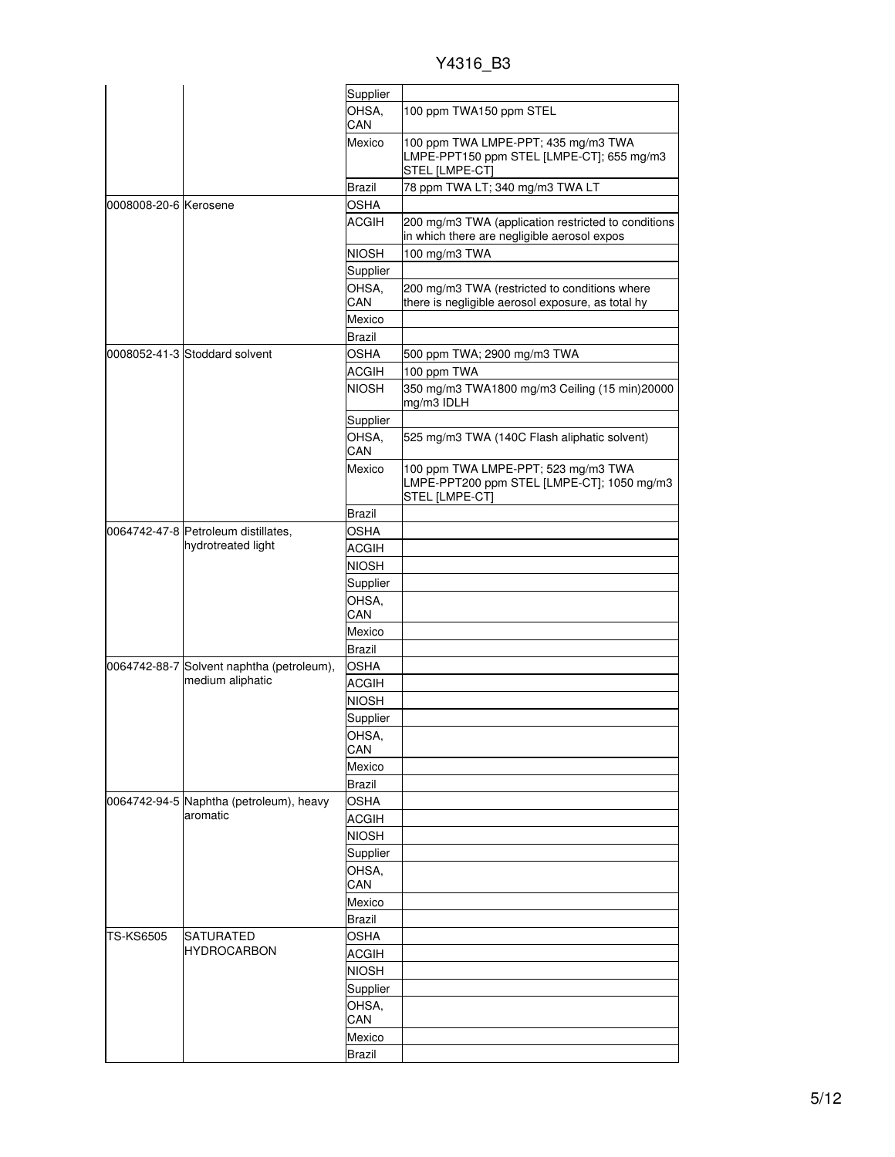Y4316\_B3

|                       |                                                     | Supplier      |                                                                                                     |
|-----------------------|-----------------------------------------------------|---------------|-----------------------------------------------------------------------------------------------------|
|                       |                                                     | OHSA,<br>CAN  | 100 ppm TWA150 ppm STEL                                                                             |
|                       |                                                     | Mexico        | 100 ppm TWA LMPE-PPT; 435 mg/m3 TWA<br>LMPE-PPT150 ppm STEL [LMPE-CT]; 655 mg/m3<br>STEL [LMPE-CT]  |
|                       |                                                     | Brazil        | 78 ppm TWA LT; 340 mg/m3 TWA LT                                                                     |
| 0008008-20-6 Kerosene |                                                     | <b>OSHA</b>   |                                                                                                     |
|                       |                                                     | <b>ACGIH</b>  | 200 mg/m3 TWA (application restricted to conditions<br>in which there are negligible aerosol expos  |
|                       |                                                     | <b>NIOSH</b>  | 100 mg/m3 TWA                                                                                       |
|                       |                                                     | Supplier      |                                                                                                     |
|                       |                                                     | OHSA,<br>CAN  | 200 mg/m3 TWA (restricted to conditions where<br>there is negligible aerosol exposure, as total hy  |
|                       |                                                     | Mexico        |                                                                                                     |
|                       |                                                     | Brazil        |                                                                                                     |
|                       | 0008052-41-3 Stoddard solvent                       | <b>OSHA</b>   | 500 ppm TWA; 2900 mg/m3 TWA                                                                         |
|                       |                                                     | <b>ACGIH</b>  | 100 ppm TWA                                                                                         |
|                       |                                                     | <b>NIOSH</b>  | 350 mg/m3 TWA1800 mg/m3 Ceiling (15 min)20000<br>mg/m3 IDLH                                         |
|                       |                                                     |               |                                                                                                     |
|                       |                                                     | Supplier      |                                                                                                     |
|                       |                                                     | OHSA,<br>CAN  | 525 mg/m3 TWA (140C Flash aliphatic solvent)                                                        |
|                       |                                                     | Mexico        | 100 ppm TWA LMPE-PPT; 523 mg/m3 TWA<br>LMPE-PPT200 ppm STEL [LMPE-CT]; 1050 mg/m3<br>STEL [LMPE-CT] |
|                       |                                                     | <b>Brazil</b> |                                                                                                     |
|                       | 0064742-47-8 Petroleum distillates,                 | <b>OSHA</b>   |                                                                                                     |
|                       | hydrotreated light                                  | <b>ACGIH</b>  |                                                                                                     |
|                       |                                                     | <b>NIOSH</b>  |                                                                                                     |
|                       |                                                     | Supplier      |                                                                                                     |
|                       |                                                     | OHSA,         |                                                                                                     |
|                       |                                                     | CAN           |                                                                                                     |
|                       |                                                     | Mexico        |                                                                                                     |
|                       |                                                     | Brazil        |                                                                                                     |
|                       | 0064742-88-7 Solvent naphtha (petroleum),           | <b>OSHA</b>   |                                                                                                     |
|                       | medium aliphatic                                    | <b>ACGIH</b>  |                                                                                                     |
|                       |                                                     | <b>NIOSH</b>  |                                                                                                     |
|                       |                                                     |               |                                                                                                     |
|                       |                                                     | Supplier      |                                                                                                     |
|                       |                                                     | OHSA,<br>CAN  |                                                                                                     |
|                       |                                                     | Mexico        |                                                                                                     |
|                       |                                                     | Brazil        |                                                                                                     |
|                       |                                                     | <b>OSHA</b>   |                                                                                                     |
|                       | 0064742-94-5 Naphtha (petroleum), heavy<br>aromatic | <b>ACGIH</b>  |                                                                                                     |
|                       |                                                     |               |                                                                                                     |
|                       |                                                     | <b>NIOSH</b>  |                                                                                                     |
|                       |                                                     | Supplier      |                                                                                                     |
|                       |                                                     | OHSA,<br>CAN  |                                                                                                     |
|                       |                                                     | Mexico        |                                                                                                     |
|                       |                                                     |               |                                                                                                     |
|                       |                                                     | <b>Brazil</b> |                                                                                                     |
| <b>TS-KS6505</b>      | <b>SATURATED</b><br><b>HYDROCARBON</b>              | <b>OSHA</b>   |                                                                                                     |
|                       |                                                     | <b>ACGIH</b>  |                                                                                                     |
|                       |                                                     | <b>NIOSH</b>  |                                                                                                     |
|                       |                                                     | Supplier      |                                                                                                     |
|                       |                                                     | OHSA,<br>CAN  |                                                                                                     |
|                       |                                                     | Mexico        |                                                                                                     |
|                       |                                                     | <b>Brazil</b> |                                                                                                     |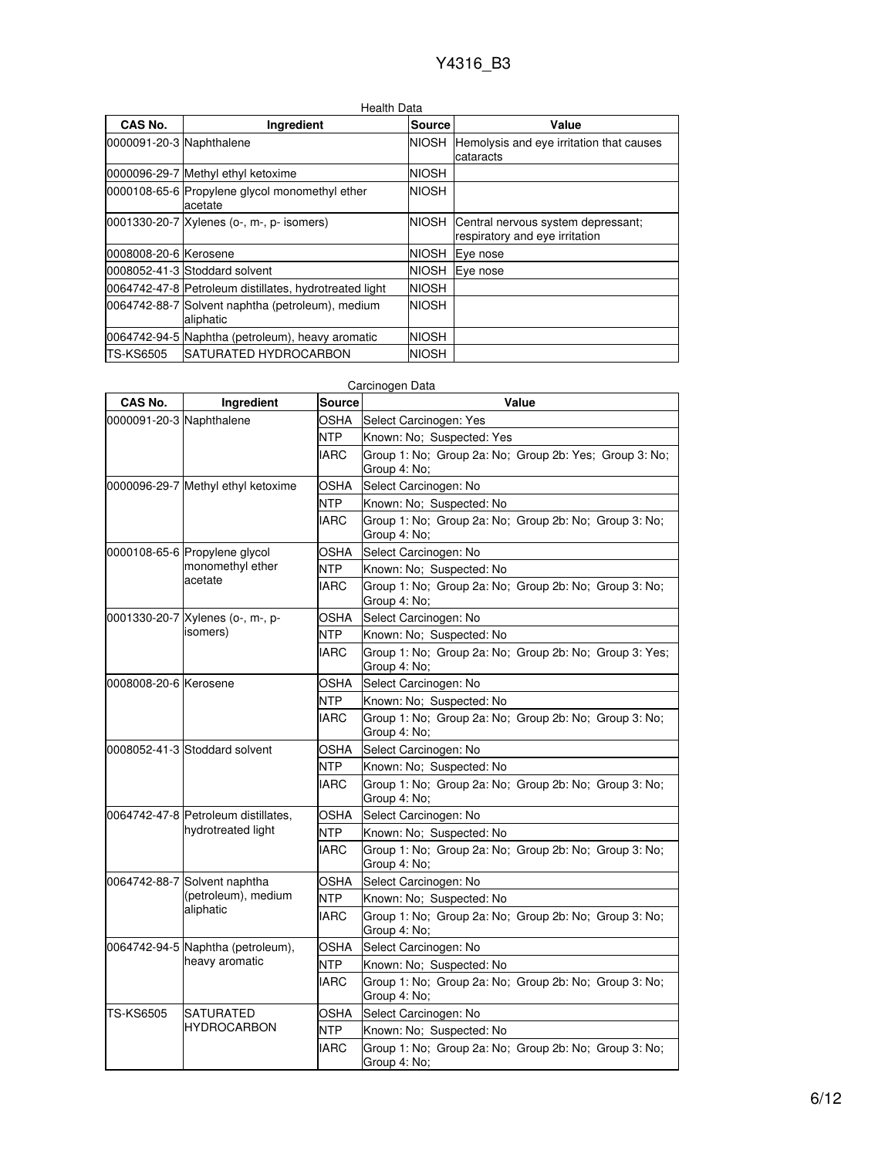| Health Data              |                                                               |               |                                                                      |
|--------------------------|---------------------------------------------------------------|---------------|----------------------------------------------------------------------|
| CAS No.                  | Ingredient                                                    | <b>Source</b> | Value                                                                |
| 0000091-20-3 Naphthalene |                                                               | <b>NIOSH</b>  | Hemolysis and eye irritation that causes<br>cataracts                |
|                          | 0000096-29-7 Methyl ethyl ketoxime                            | <b>NIOSH</b>  |                                                                      |
|                          | 0000108-65-6 Propylene glycol monomethyl ether<br>acetate     | <b>NIOSH</b>  |                                                                      |
|                          | 0001330-20-7 Xylenes (o-, m-, p- isomers)                     | <b>NIOSH</b>  | Central nervous system depressant;<br>respiratory and eye irritation |
| 0008008-20-6 Kerosene    |                                                               | <b>NIOSH</b>  | Eye nose                                                             |
|                          | 0008052-41-3 Stoddard solvent                                 | <b>NIOSH</b>  | Eye nose                                                             |
|                          | 0064742-47-8 Petroleum distillates, hydrotreated light        | <b>NIOSH</b>  |                                                                      |
|                          | 0064742-88-7 Solvent naphtha (petroleum), medium<br>aliphatic | <b>NIOSH</b>  |                                                                      |
|                          | 0064742-94-5 Naphtha (petroleum), heavy aromatic              | <b>NIOSH</b>  |                                                                      |
| <b>TS-KS6505</b>         | <b>ISATURATED HYDROCARBON</b>                                 | <b>NIOSH</b>  |                                                                      |

| CAS No.                  | Ingredient                                                       | <b>Source</b> | Value                                                                  |
|--------------------------|------------------------------------------------------------------|---------------|------------------------------------------------------------------------|
| 0000091-20-3 Naphthalene |                                                                  | OSHA          | Select Carcinogen: Yes                                                 |
|                          |                                                                  | NTP           | Known: No; Suspected: Yes                                              |
|                          |                                                                  | <b>IARC</b>   | Group 1: No; Group 2a: No; Group 2b: Yes; Group 3: No;<br>Group 4: No; |
|                          | 0000096-29-7 Methyl ethyl ketoxime                               | OSHA          | Select Carcinogen: No                                                  |
|                          |                                                                  | NTP           | Known: No; Suspected: No                                               |
|                          |                                                                  | <b>IARC</b>   | Group 1: No; Group 2a: No; Group 2b: No; Group 3: No;<br>Group 4: No:  |
|                          | 0000108-65-6 Propylene glycol                                    | OSHA          | Select Carcinogen: No                                                  |
|                          | monomethyl ether                                                 | NTP           | Known: No: Suspected: No                                               |
|                          | acetate                                                          | <b>IARC</b>   | Group 1: No; Group 2a: No; Group 2b: No; Group 3: No;<br>Group 4: No;  |
|                          | 0001330-20-7 Xylenes (o-, m-, p-                                 | OSHA          | Select Carcinogen: No                                                  |
|                          | isomers)                                                         | NTP           | Known: No; Suspected: No                                               |
|                          |                                                                  | <b>IARC</b>   | Group 1: No; Group 2a: No; Group 2b: No; Group 3: Yes;<br>Group 4: No; |
| 0008008-20-6 Kerosene    |                                                                  | OSHA          | Select Carcinogen: No                                                  |
|                          |                                                                  | <b>NTP</b>    | Known: No; Suspected: No                                               |
|                          |                                                                  | IARC          | Group 1: No: Group 2a: No: Group 2b: No: Group 3: No:<br>Group 4: No;  |
|                          | 0008052-41-3 Stoddard solvent                                    | OSHA          | Select Carcinogen: No                                                  |
|                          |                                                                  | NTP           | Known: No; Suspected: No                                               |
|                          |                                                                  | <b>IARC</b>   | Group 1: No; Group 2a: No; Group 2b: No; Group 3: No;<br>Group 4: No;  |
|                          | 0064742-47-8 Petroleum distillates,<br>hydrotreated light        | OSHA          | Select Carcinogen: No                                                  |
|                          |                                                                  | NTP           | Known: No; Suspected: No                                               |
|                          |                                                                  | <b>IARC</b>   | Group 1: No; Group 2a: No; Group 2b: No; Group 3: No;<br>Group 4: No;  |
|                          | 0064742-88-7 Solvent naphtha<br>(petroleum), medium<br>aliphatic | OSHA          | Select Carcinogen: No                                                  |
|                          |                                                                  | NTP           | Known: No; Suspected: No                                               |
|                          |                                                                  | IARC          | Group 1: No; Group 2a: No; Group 2b: No; Group 3: No;<br>Group 4: No;  |
|                          | 0064742-94-5 Naphtha (petroleum),                                | <b>OSHA</b>   | Select Carcinogen: No                                                  |
|                          | heavy aromatic                                                   | NTP           | Known: No: Suspected: No                                               |
|                          |                                                                  | <b>IARC</b>   | Group 1: No; Group 2a: No; Group 2b: No; Group 3: No;<br>Group 4: No;  |
| <b>TS-KS6505</b>         | SATURATED                                                        | OSHA          | Select Carcinogen: No                                                  |
|                          | <b>HYDROCARBON</b>                                               | <b>NTP</b>    | Known: No; Suspected: No                                               |
|                          |                                                                  | <b>IARC</b>   | Group 1: No; Group 2a: No; Group 2b: No; Group 3: No;<br>Group 4: No:  |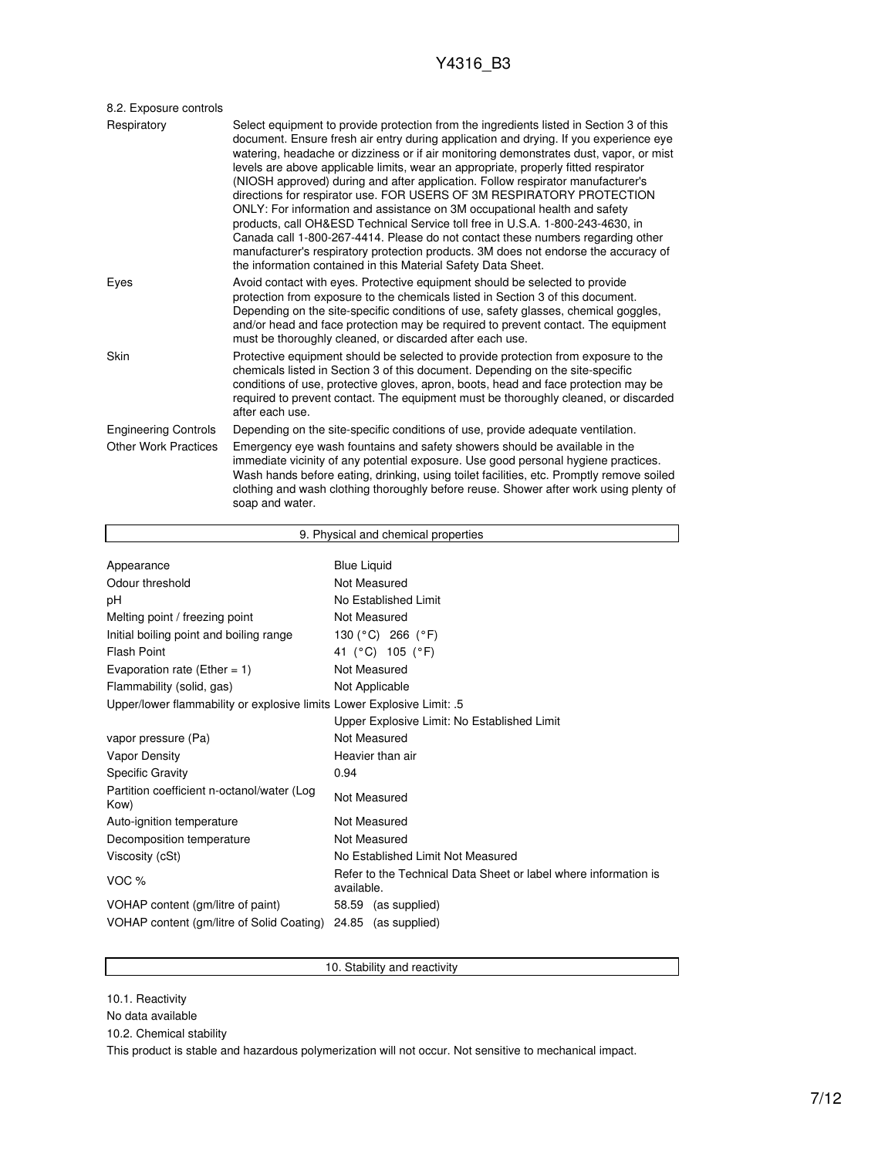| 8.2. Exposure controls      |                                                                                                                                                                                                                                                                                                                                                                                                                                                                                                                                                                                                                                                                                                                                                                                                                                                                                                                                         |
|-----------------------------|-----------------------------------------------------------------------------------------------------------------------------------------------------------------------------------------------------------------------------------------------------------------------------------------------------------------------------------------------------------------------------------------------------------------------------------------------------------------------------------------------------------------------------------------------------------------------------------------------------------------------------------------------------------------------------------------------------------------------------------------------------------------------------------------------------------------------------------------------------------------------------------------------------------------------------------------|
| Respiratory                 | Select equipment to provide protection from the ingredients listed in Section 3 of this<br>document. Ensure fresh air entry during application and drying. If you experience eye<br>watering, headache or dizziness or if air monitoring demonstrates dust, vapor, or mist<br>levels are above applicable limits, wear an appropriate, properly fitted respirator<br>(NIOSH approved) during and after application. Follow respirator manufacturer's<br>directions for respirator use. FOR USERS OF 3M RESPIRATORY PROTECTION<br>ONLY: For information and assistance on 3M occupational health and safety<br>products, call OH&ESD Technical Service toll free in U.S.A. 1-800-243-4630, in<br>Canada call 1-800-267-4414. Please do not contact these numbers regarding other<br>manufacturer's respiratory protection products. 3M does not endorse the accuracy of<br>the information contained in this Material Safety Data Sheet. |
| Eyes                        | Avoid contact with eyes. Protective equipment should be selected to provide<br>protection from exposure to the chemicals listed in Section 3 of this document.<br>Depending on the site-specific conditions of use, safety glasses, chemical goggles,<br>and/or head and face protection may be required to prevent contact. The equipment<br>must be thoroughly cleaned, or discarded after each use.                                                                                                                                                                                                                                                                                                                                                                                                                                                                                                                                  |
| Skin                        | Protective equipment should be selected to provide protection from exposure to the<br>chemicals listed in Section 3 of this document. Depending on the site-specific<br>conditions of use, protective gloves, apron, boots, head and face protection may be<br>required to prevent contact. The equipment must be thoroughly cleaned, or discarded<br>after each use.                                                                                                                                                                                                                                                                                                                                                                                                                                                                                                                                                                   |
| <b>Engineering Controls</b> | Depending on the site-specific conditions of use, provide adequate ventilation.                                                                                                                                                                                                                                                                                                                                                                                                                                                                                                                                                                                                                                                                                                                                                                                                                                                         |
| <b>Other Work Practices</b> | Emergency eye wash fountains and safety showers should be available in the<br>immediate vicinity of any potential exposure. Use good personal hygiene practices.<br>Wash hands before eating, drinking, using toilet facilities, etc. Promptly remove soiled<br>clothing and wash clothing thoroughly before reuse. Shower after work using plenty of<br>soap and water.                                                                                                                                                                                                                                                                                                                                                                                                                                                                                                                                                                |

| 9. Physical and chemical properties                                    |                                                                               |  |  |
|------------------------------------------------------------------------|-------------------------------------------------------------------------------|--|--|
|                                                                        |                                                                               |  |  |
| Appearance                                                             | <b>Blue Liquid</b>                                                            |  |  |
| Odour threshold                                                        | Not Measured                                                                  |  |  |
| рH                                                                     | No Established Limit                                                          |  |  |
| Melting point / freezing point                                         | Not Measured                                                                  |  |  |
| Initial boiling point and boiling range                                | 130 (°C) 266 (°F)                                                             |  |  |
| <b>Flash Point</b>                                                     | 41 (°C) 105 (°F)                                                              |  |  |
| Evaporation rate (Ether = $1$ )                                        | Not Measured                                                                  |  |  |
| Flammability (solid, gas)                                              | Not Applicable                                                                |  |  |
| Upper/lower flammability or explosive limits Lower Explosive Limit: .5 |                                                                               |  |  |
|                                                                        | Upper Explosive Limit: No Established Limit                                   |  |  |
| vapor pressure (Pa)                                                    | Not Measured                                                                  |  |  |
| Vapor Density                                                          | Heavier than air                                                              |  |  |
| <b>Specific Gravity</b>                                                | 0.94                                                                          |  |  |
| Partition coefficient n-octanol/water (Log<br>Kow)                     | Not Measured                                                                  |  |  |
| Auto-ignition temperature                                              | Not Measured                                                                  |  |  |
| Decomposition temperature                                              | Not Measured                                                                  |  |  |
| Viscosity (cSt)                                                        | No Established Limit Not Measured                                             |  |  |
| VOC <sub>%</sub>                                                       | Refer to the Technical Data Sheet or label where information is<br>available. |  |  |
| VOHAP content (gm/litre of paint)                                      | 58.59 (as supplied)                                                           |  |  |
| VOHAP content (gm/litre of Solid Coating)                              | 24.85<br>(as supplied)                                                        |  |  |
|                                                                        |                                                                               |  |  |

10. Stability and reactivity

10.1. Reactivity

r

No data available

10.2. Chemical stability

This product is stable and hazardous polymerization will not occur. Not sensitive to mechanical impact.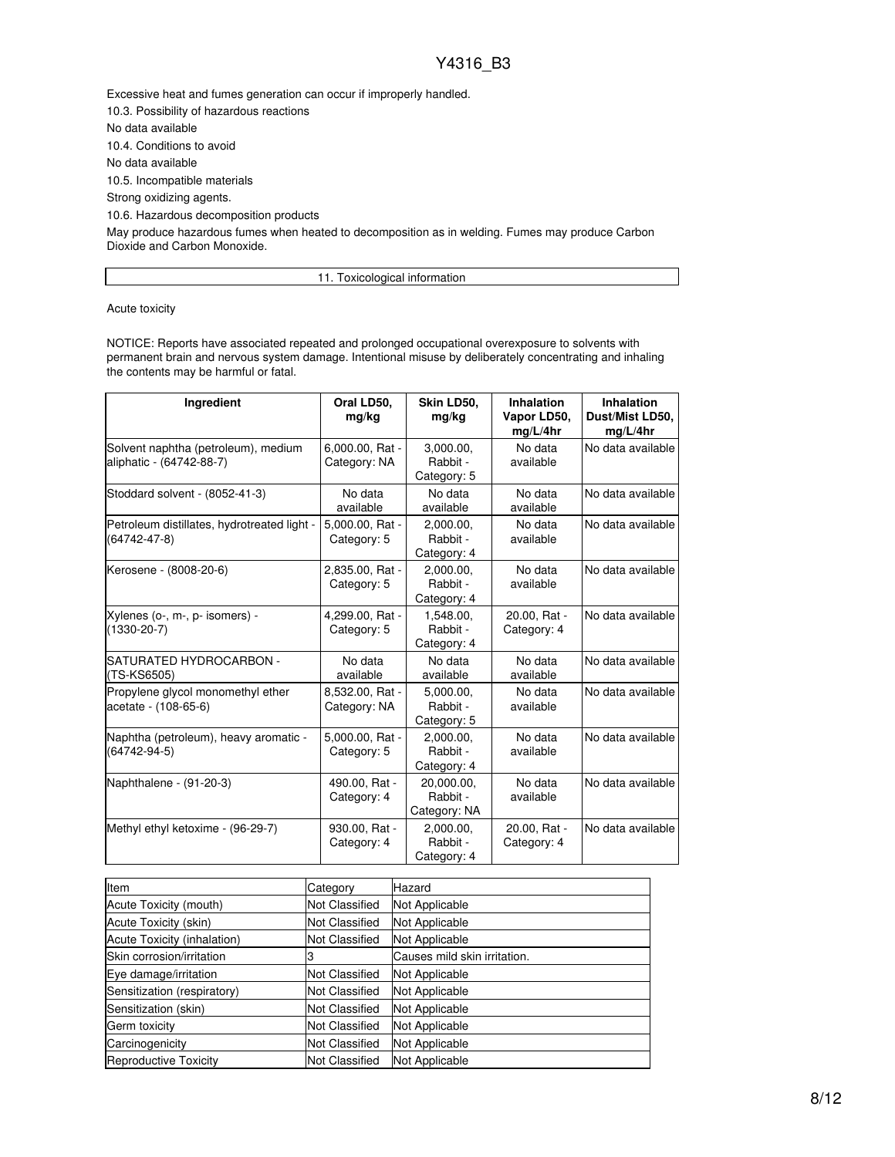Excessive heat and fumes generation can occur if improperly handled.

10.3. Possibility of hazardous reactions

No data available

10.4. Conditions to avoid

No data available

10.5. Incompatible materials

Strong oxidizing agents.

10.6. Hazardous decomposition products

May produce hazardous fumes when heated to decomposition as in welding. Fumes may produce Carbon Dioxide and Carbon Monoxide.

11. Toxicological information

Acute toxicity

NOTICE: Reports have associated repeated and prolonged occupational overexposure to solvents with permanent brain and nervous system damage. Intentional misuse by deliberately concentrating and inhaling the contents may be harmful or fatal.

| Ingredient                                                      | Oral LD50,<br>mg/kg             | Skin LD50,<br>mg/kg                    | <b>Inhalation</b><br>Vapor LD50,<br>mg/L/4hr | Inhalation<br>Dust/Mist LD50,<br>mg/L/4hr |
|-----------------------------------------------------------------|---------------------------------|----------------------------------------|----------------------------------------------|-------------------------------------------|
| Solvent naphtha (petroleum), medium<br>aliphatic - (64742-88-7) | 6,000.00, Rat -<br>Category: NA | 3,000.00,<br>Rabbit -<br>Category: 5   | No data<br>available                         | No data available                         |
| Stoddard solvent - (8052-41-3)                                  | No data<br>available            | No data<br>available                   | No data<br>available                         | No data available                         |
| Petroleum distillates, hydrotreated light -<br>(64742-47-8)     | 5,000.00, Rat -<br>Category: 5  | 2.000.00.<br>Rabbit -<br>Category: 4   | No data<br>available                         | No data available                         |
| Kerosene - (8008-20-6)                                          | 2,835.00, Rat -<br>Category: 5  | 2,000.00,<br>Rabbit -<br>Category: 4   | No data<br>available                         | No data available                         |
| Xylenes (o-, m-, p- isomers) -<br>$(1330 - 20 - 7)$             | 4,299.00, Rat -<br>Category: 5  | 1,548.00,<br>Rabbit -<br>Category: 4   | 20.00, Rat -<br>Category: 4                  | No data available                         |
| SATURATED HYDROCARBON -<br>(TS-KS6505)                          | No data<br>available            | No data<br>available                   | No data<br>available                         | No data available                         |
| Propylene givcol monomethyl ether<br>acetate - (108-65-6)       | 8,532.00, Rat -<br>Category: NA | 5,000.00,<br>Rabbit -<br>Category: 5   | No data<br>available                         | No data available                         |
| Naphtha (petroleum), heavy aromatic -<br>$(64742 - 94 - 5)$     | 5,000.00, Rat -<br>Category: 5  | 2.000.00.<br>Rabbit -<br>Category: 4   | No data<br>available                         | No data available                         |
| Naphthalene - (91-20-3)                                         | 490.00, Rat -<br>Category: 4    | 20,000.00,<br>Rabbit -<br>Category: NA | No data<br>available                         | No data available                         |
| Methyl ethyl ketoxime - (96-29-7)                               | 930.00, Rat -<br>Category: 4    | 2,000.00,<br>Rabbit -<br>Category: 4   | 20.00, Rat -<br>Category: 4                  | No data available                         |

| Item                        | Category              | Hazard                       |
|-----------------------------|-----------------------|------------------------------|
| Acute Toxicity (mouth)      | <b>Not Classified</b> | Not Applicable               |
| Acute Toxicity (skin)       | <b>Not Classified</b> | Not Applicable               |
| Acute Toxicity (inhalation) | <b>Not Classified</b> | Not Applicable               |
| Skin corrosion/irritation   |                       | Causes mild skin irritation. |
| Eye damage/irritation       | <b>Not Classified</b> | Not Applicable               |
| Sensitization (respiratory) | <b>Not Classified</b> | Not Applicable               |
| Sensitization (skin)        | <b>Not Classified</b> | Not Applicable               |
| Germ toxicity               | <b>Not Classified</b> | Not Applicable               |
| Carcinogenicity             | <b>Not Classified</b> | Not Applicable               |
| Reproductive Toxicity       | <b>Not Classified</b> | Not Applicable               |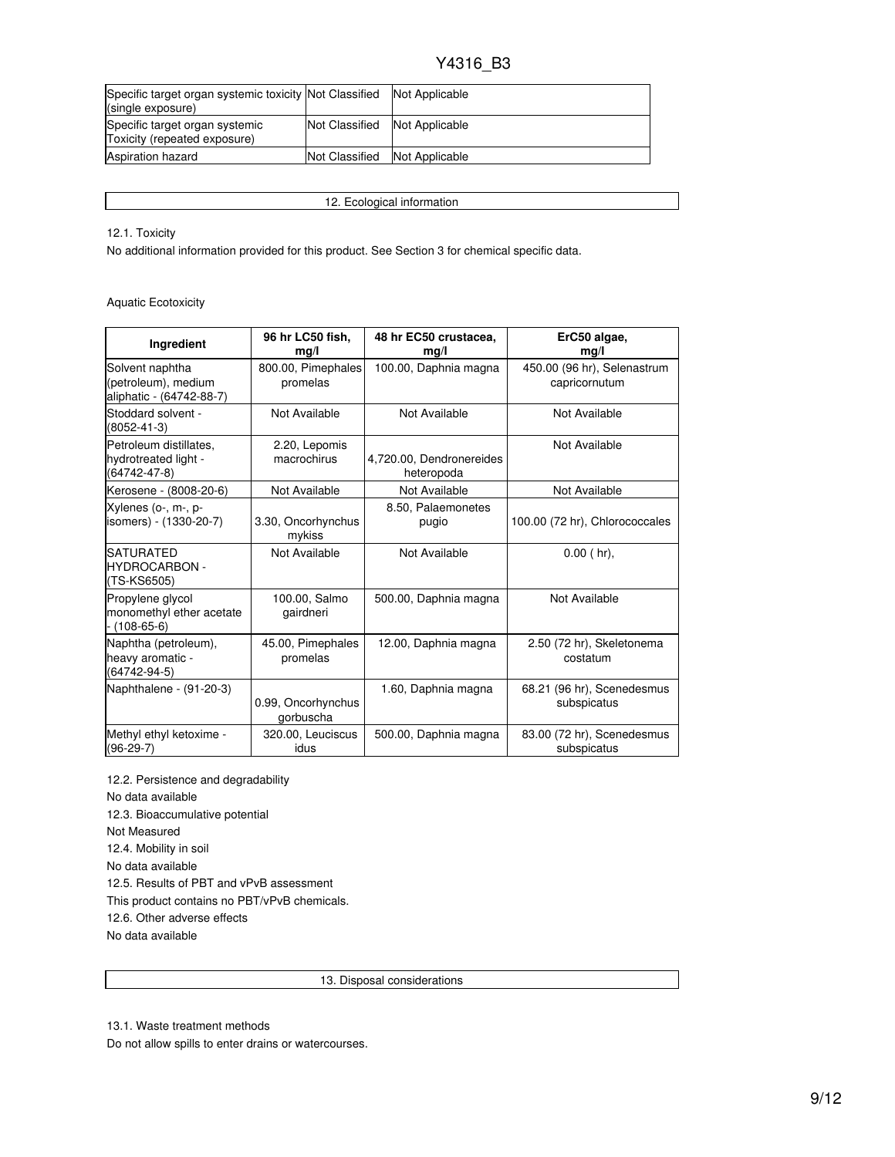| Specific target organ systemic toxicity Not Classified<br>(single exposure) |                | Not Applicable |
|-----------------------------------------------------------------------------|----------------|----------------|
| Specific target organ systemic<br>Toxicity (repeated exposure)              | Not Classified | Not Applicable |
| <b>Aspiration hazard</b>                                                    | Not Classified | Not Applicable |

12. Ecological information

12.1. Toxicity

No additional information provided for this product. See Section 3 for chemical specific data.

Aquatic Ecotoxicity

| Ingredient                                                         | 96 hr LC50 fish,<br>mg/l        | 48 hr EC50 crustacea,<br>mg/l          | ErC50 algae,<br>mg/l                         |
|--------------------------------------------------------------------|---------------------------------|----------------------------------------|----------------------------------------------|
| Solvent naphtha<br>(petroleum), medium<br>aliphatic - (64742-88-7) | 800.00, Pimephales<br>promelas  | 100.00, Daphnia magna                  | 450.00 (96 hr), Selenastrum<br>capricornutum |
| Stoddard solvent -<br>$(8052 - 41 - 3)$                            | Not Available                   | Not Available                          | Not Available                                |
| Petroleum distillates.<br>hydrotreated light -<br>(64742-47-8)     | 2.20, Lepomis<br>macrochirus    | 4,720.00, Dendronereides<br>heteropoda | Not Available                                |
| Kerosene - (8008-20-6)                                             | Not Available                   | Not Available                          | Not Available                                |
| Xylenes (o-, m-, p-<br>isomers) - (1330-20-7)                      | 3.30, Oncorhynchus<br>mykiss    | 8.50, Palaemonetes<br>pugio            | 100.00 (72 hr), Chlorococcales               |
| <b>SATURATED</b><br><b>HYDROCARBON -</b><br>(TS-KS6505)            | Not Available                   | Not Available                          | $0.00$ (hr),                                 |
| Propylene glycol<br>monomethyl ether acetate<br>$- (108 - 65 - 6)$ | 100.00, Salmo<br>gairdneri      | 500.00, Daphnia magna                  | Not Available                                |
| Naphtha (petroleum),<br>heavy aromatic -<br>(64742-94-5)           | 45.00, Pimephales<br>promelas   | 12.00, Daphnia magna                   | 2.50 (72 hr), Skeletonema<br>costatum        |
| Naphthalene - (91-20-3)                                            | 0.99, Oncorhynchus<br>gorbuscha | 1.60, Daphnia magna                    | 68.21 (96 hr), Scenedesmus<br>subspicatus    |
| Methyl ethyl ketoxime -<br>$(96-29-7)$                             | 320.00, Leuciscus<br>idus       | 500.00, Daphnia magna                  | 83.00 (72 hr), Scenedesmus<br>subspicatus    |

12.2. Persistence and degradability No data available 12.3. Bioaccumulative potential Not Measured 12.4. Mobility in soil No data available 12.5. Results of PBT and vPvB assessment This product contains no PBT/vPvB chemicals. 12.6. Other adverse effects No data available

13. Disposal considerations

13.1. Waste treatment methods

Do not allow spills to enter drains or watercourses.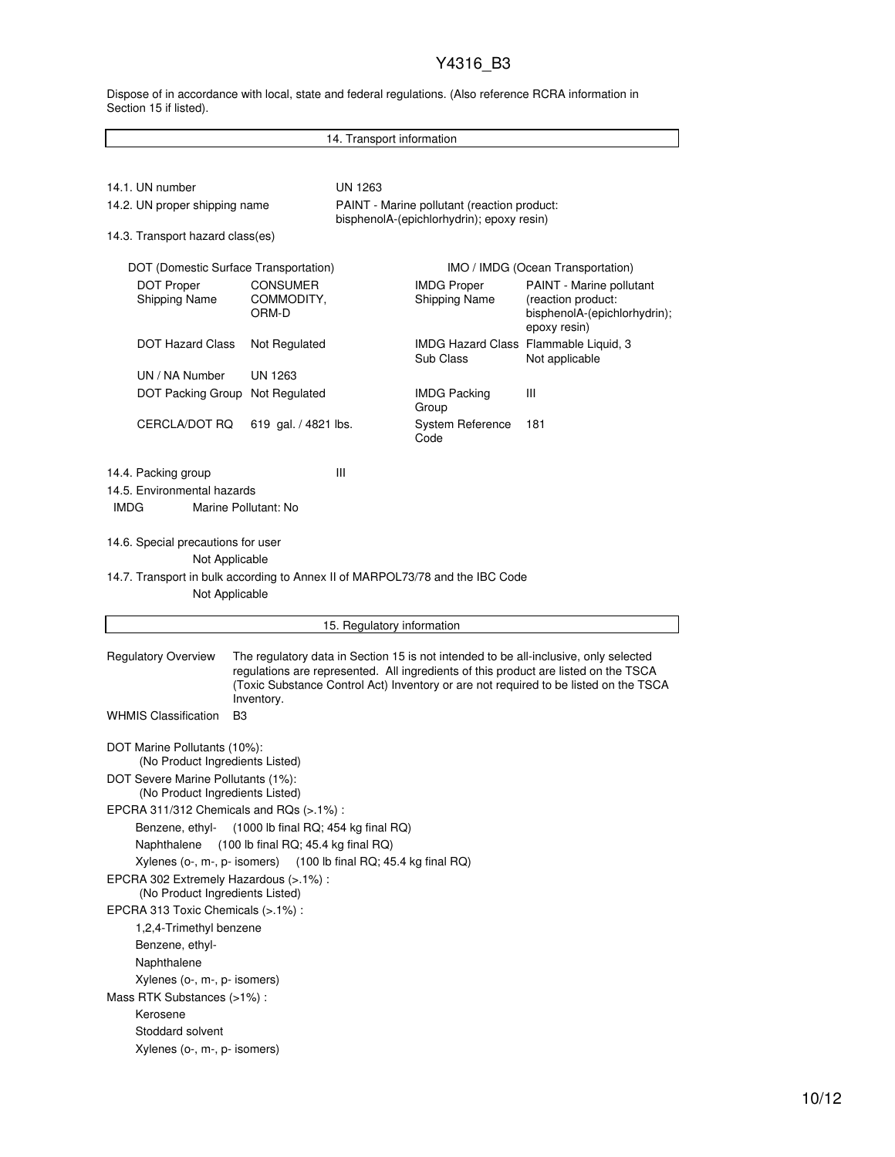Dispose of in accordance with local, state and federal regulations. (Also reference RCRA information in Section 15 if listed).

| 14. Transport information                                                                       |                                                                                                                                                                                                                                                                                   |                                           |                                             |                                                                                                |  |
|-------------------------------------------------------------------------------------------------|-----------------------------------------------------------------------------------------------------------------------------------------------------------------------------------------------------------------------------------------------------------------------------------|-------------------------------------------|---------------------------------------------|------------------------------------------------------------------------------------------------|--|
|                                                                                                 |                                                                                                                                                                                                                                                                                   |                                           |                                             |                                                                                                |  |
|                                                                                                 |                                                                                                                                                                                                                                                                                   |                                           |                                             |                                                                                                |  |
| 14.1. UN number                                                                                 |                                                                                                                                                                                                                                                                                   | UN 1263                                   | PAINT - Marine pollutant (reaction product: |                                                                                                |  |
| 14.2. UN proper shipping name                                                                   |                                                                                                                                                                                                                                                                                   | bisphenolA-(epichlorhydrin); epoxy resin) |                                             |                                                                                                |  |
| 14.3. Transport hazard class(es)                                                                |                                                                                                                                                                                                                                                                                   |                                           |                                             |                                                                                                |  |
| DOT (Domestic Surface Transportation)<br>IMO / IMDG (Ocean Transportation)                      |                                                                                                                                                                                                                                                                                   |                                           |                                             |                                                                                                |  |
| <b>DOT Proper</b><br><b>Shipping Name</b>                                                       | <b>CONSUMER</b><br>COMMODITY,<br>ORM-D                                                                                                                                                                                                                                            |                                           | <b>IMDG Proper</b><br>Shipping Name         | PAINT - Marine pollutant<br>(reaction product:<br>bisphenolA-(epichlorhydrin);<br>epoxy resin) |  |
| <b>DOT Hazard Class</b>                                                                         | Not Regulated                                                                                                                                                                                                                                                                     |                                           | Sub Class                                   | IMDG Hazard Class Flammable Liquid, 3<br>Not applicable                                        |  |
| UN / NA Number                                                                                  | UN 1263                                                                                                                                                                                                                                                                           |                                           |                                             |                                                                                                |  |
| DOT Packing Group                                                                               | Not Regulated                                                                                                                                                                                                                                                                     |                                           | <b>IMDG Packing</b><br>Group                | Ш                                                                                              |  |
| CERCLA/DOT RQ                                                                                   | 619 gal. / 4821 lbs.                                                                                                                                                                                                                                                              |                                           | <b>System Reference</b><br>Code             | 181                                                                                            |  |
| 14.4. Packing group<br>14.5. Environmental hazards<br><b>IMDG</b>                               | Marine Pollutant: No                                                                                                                                                                                                                                                              | Ш                                         |                                             |                                                                                                |  |
| 14.6. Special precautions for user<br>Not Applicable                                            |                                                                                                                                                                                                                                                                                   |                                           |                                             |                                                                                                |  |
| 14.7. Transport in bulk according to Annex II of MARPOL73/78 and the IBC Code<br>Not Applicable |                                                                                                                                                                                                                                                                                   |                                           |                                             |                                                                                                |  |
|                                                                                                 |                                                                                                                                                                                                                                                                                   | 15. Regulatory information                |                                             |                                                                                                |  |
|                                                                                                 |                                                                                                                                                                                                                                                                                   |                                           |                                             |                                                                                                |  |
| <b>Regulatory Overview</b>                                                                      | The regulatory data in Section 15 is not intended to be all-inclusive, only selected<br>regulations are represented. All ingredients of this product are listed on the TSCA<br>(Toxic Substance Control Act) Inventory or are not required to be listed on the TSCA<br>Inventory. |                                           |                                             |                                                                                                |  |
| <b>WHMIS Classification</b><br>B <sub>3</sub>                                                   |                                                                                                                                                                                                                                                                                   |                                           |                                             |                                                                                                |  |
| DOT Marine Pollutants (10%):<br>(No Product Ingredients Listed)                                 |                                                                                                                                                                                                                                                                                   |                                           |                                             |                                                                                                |  |
| DOT Severe Marine Pollutants (1%):<br>(No Product Ingredients Listed)                           |                                                                                                                                                                                                                                                                                   |                                           |                                             |                                                                                                |  |
|                                                                                                 |                                                                                                                                                                                                                                                                                   |                                           |                                             |                                                                                                |  |
| EPCRA 311/312 Chemicals and RQs (>.1%):<br>Benzene, ethyl- (1000 lb final RQ; 454 kg final RQ)  |                                                                                                                                                                                                                                                                                   |                                           |                                             |                                                                                                |  |
| (100 lb final RQ; 45.4 kg final RQ)<br>Naphthalene                                              |                                                                                                                                                                                                                                                                                   |                                           |                                             |                                                                                                |  |
|                                                                                                 | Xylenes (o-, m-, p- isomers)<br>(100 lb final RQ; 45.4 kg final RQ)                                                                                                                                                                                                               |                                           |                                             |                                                                                                |  |
| EPCRA 302 Extremely Hazardous (>.1%) :<br>(No Product Ingredients Listed)                       |                                                                                                                                                                                                                                                                                   |                                           |                                             |                                                                                                |  |
| EPCRA 313 Toxic Chemicals (>.1%) :                                                              |                                                                                                                                                                                                                                                                                   |                                           |                                             |                                                                                                |  |
| 1,2,4-Trimethyl benzene                                                                         |                                                                                                                                                                                                                                                                                   |                                           |                                             |                                                                                                |  |
| Benzene, ethyl-                                                                                 |                                                                                                                                                                                                                                                                                   |                                           |                                             |                                                                                                |  |
| Naphthalene                                                                                     |                                                                                                                                                                                                                                                                                   |                                           |                                             |                                                                                                |  |
| Xylenes (o-, m-, p- isomers)                                                                    |                                                                                                                                                                                                                                                                                   |                                           |                                             |                                                                                                |  |
| Mass RTK Substances (>1%):                                                                      |                                                                                                                                                                                                                                                                                   |                                           |                                             |                                                                                                |  |
| Kerosene                                                                                        |                                                                                                                                                                                                                                                                                   |                                           |                                             |                                                                                                |  |
| Stoddard solvent                                                                                |                                                                                                                                                                                                                                                                                   |                                           |                                             |                                                                                                |  |
| Xylenes (o-, m-, p- isomers)                                                                    |                                                                                                                                                                                                                                                                                   |                                           |                                             |                                                                                                |  |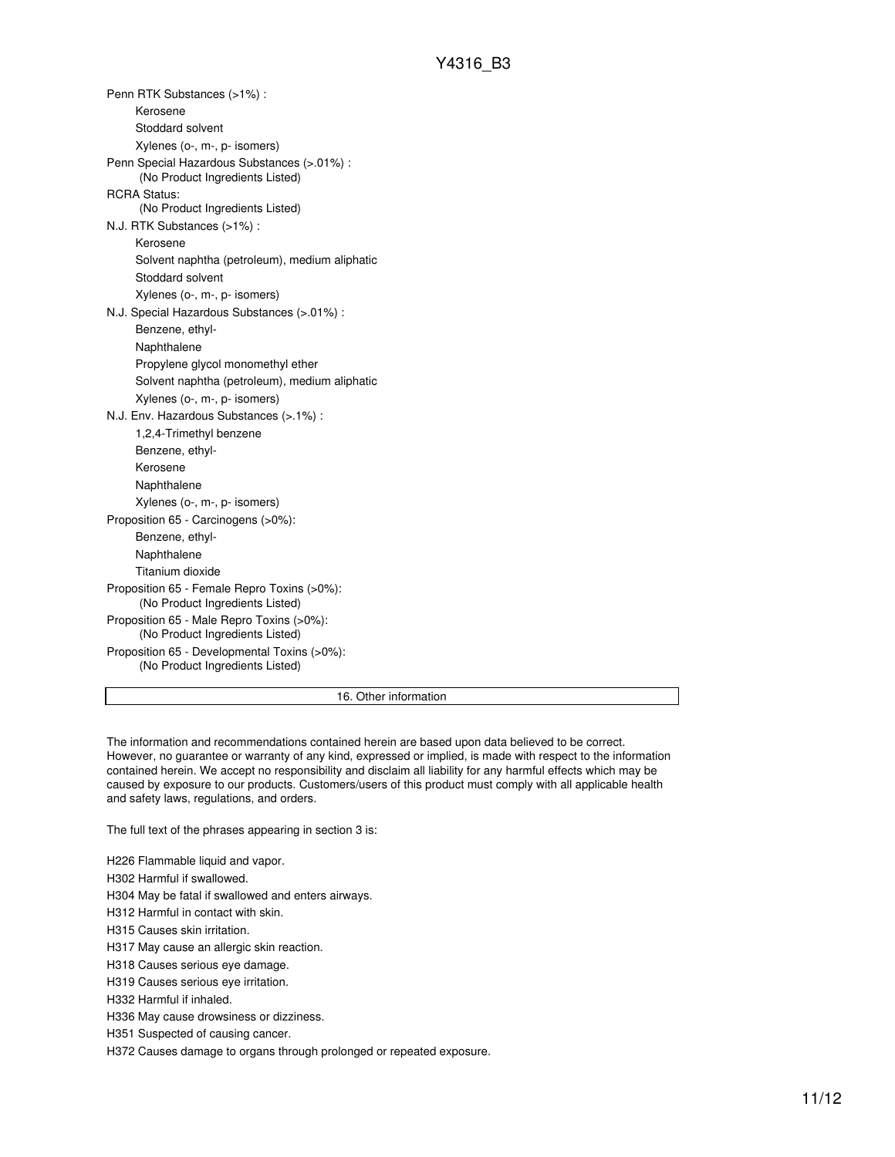Penn RTK Substances (>1%) : Kerosene Stoddard solvent Xylenes (o-, m-, p- isomers) Penn Special Hazardous Substances (>.01%) : (No Product Ingredients Listed) RCRA Status: (No Product Ingredients Listed) N.J. RTK Substances (>1%) : Kerosene Solvent naphtha (petroleum), medium aliphatic Stoddard solvent Xylenes (o-, m-, p- isomers) N.J. Special Hazardous Substances (>.01%) : Benzene, ethyl-Naphthalene Propylene glycol monomethyl ether Solvent naphtha (petroleum), medium aliphatic Xylenes (o-, m-, p- isomers) N.J. Env. Hazardous Substances (>.1%) : 1,2,4-Trimethyl benzene Benzene, ethyl-Kerosene Naphthalene Xylenes (o-, m-, p- isomers) Proposition 65 - Carcinogens (>0%): Benzene, ethyl-Naphthalene Titanium dioxide Proposition 65 - Female Repro Toxins (>0%): (No Product Ingredients Listed) Proposition 65 - Male Repro Toxins (>0%): (No Product Ingredients Listed) Proposition 65 - Developmental Toxins (>0%): (No Product Ingredients Listed)

16. Other information

The information and recommendations contained herein are based upon data believed to be correct. However, no guarantee or warranty of any kind, expressed or implied, is made with respect to the information contained herein. We accept no responsibility and disclaim all liability for any harmful effects which may be caused by exposure to our products. Customers/users of this product must comply with all applicable health and safety laws, regulations, and orders.

The full text of the phrases appearing in section 3 is:

H226 Flammable liquid and vapor.

H302 Harmful if swallowed.

H304 May be fatal if swallowed and enters airways.

H312 Harmful in contact with skin.

H315 Causes skin irritation.

H317 May cause an allergic skin reaction.

H318 Causes serious eye damage.

H319 Causes serious eye irritation.

H332 Harmful if inhaled.

H336 May cause drowsiness or dizziness.

H351 Suspected of causing cancer.

H372 Causes damage to organs through prolonged or repeated exposure.